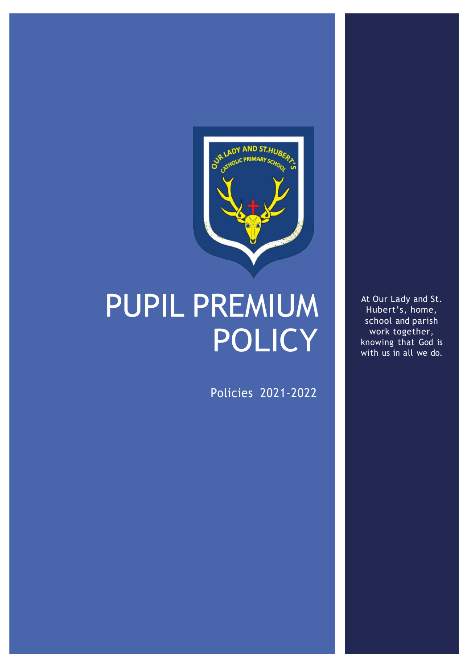

# PUPIL PREMIUM POLICY

Policies 2021-2022

At Our Lady and St. Hubert's, home, school and parish work together, knowing that God is with us in all we do.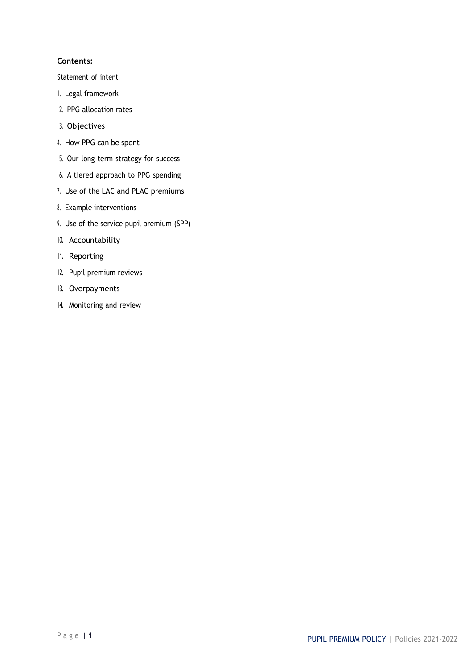# **Contents:**

Statement of intent

- 1. Legal framework
- 2. PPG allocation rates
- 3. Objectives
- 4. How PPG can be spent
- 5. Our long-term strategy for success
- 6. A tiered approach to PPG spending
- 7. Use of the LAC and PLAC premiums
- 8. Example interventions
- 9. Use of the service pupil premium (SPP)
- 10. Accountability
- 11. Reporting
- 12. Pupil premium reviews
- 13. Overpayments
- 14. Monitoring and review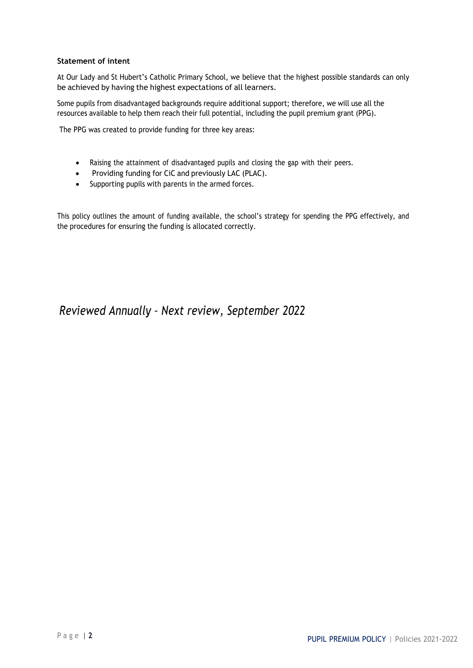# **Statement of intent**

At Our Lady and St Hubert's Catholic Primary School, we believe that the highest possible standards can only be achieved by having the highest expectations of all learners.

Some pupils from disadvantaged backgrounds require additional support; therefore, we will use all the resources available to help them reach their full potential, including the pupil premium grant (PPG).

The PPG was created to provide funding for three key areas:

- Raising the attainment of disadvantaged pupils and closing the gap with their peers.
- Providing funding for CiC and previously LAC (PLAC).
- Supporting pupils with parents in the armed forces.

This policy outlines the amount of funding available, the school's strategy for spending the PPG effectively, and the procedures for ensuring the funding is allocated correctly.

# *Reviewed Annually – Next review, September 2022*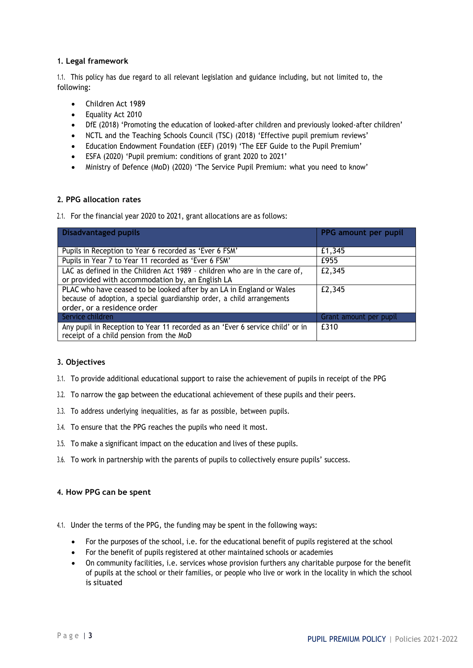# **1. Legal framework**

1.1. This policy has due regard to all relevant legislation and guidance including, but not limited to, the following:

- Children Act 1989
- Equality Act 2010
- DfE (2018) 'Promoting the education of looked-after children and previously looked-after children'
- NCTL and the Teaching Schools Council (TSC) (2018) 'Effective pupil premium reviews'
- Education Endowment Foundation (EEF) (2019) 'The EEF Guide to the Pupil Premium'
- ESFA (2020) 'Pupil premium: conditions of grant 2020 to 2021'
- Ministry of Defence (MoD) (2020) 'The Service Pupil Premium: what you need to know'

# **2. PPG allocation rates**

2.1. For the financial year 2020 to 2021, grant allocations are as follows:

| <b>Disadvantaged pupils</b>                                                                                                                                                    | PPG amount per pupil   |
|--------------------------------------------------------------------------------------------------------------------------------------------------------------------------------|------------------------|
| Pupils in Reception to Year 6 recorded as 'Ever 6 FSM'                                                                                                                         | £1,345                 |
| Pupils in Year 7 to Year 11 recorded as 'Ever 6 FSM'                                                                                                                           | £955                   |
| LAC as defined in the Children Act 1989 - children who are in the care of,<br>or provided with accommodation by, an English LA                                                 | £2,345                 |
| PLAC who have ceased to be looked after by an LA in England or Wales<br>because of adoption, a special guardianship order, a child arrangements<br>order, or a residence order | £2,345                 |
| Service children                                                                                                                                                               | Grant amount per pupil |
| Any pupil in Reception to Year 11 recorded as an 'Ever 6 service child' or in<br>receipt of a child pension from the MoD                                                       | £310                   |

# **3. Objectives**

- 3.1. To provide additional educational support to raise the achievement of pupils in receipt of the PPG
- 3.2. To narrow the gap between the educational achievement of these pupils and their peers.
- 3.3. To address underlying inequalities, as far as possible, between pupils.
- 3.4. To ensure that the PPG reaches the pupils who need it most.
- 3.5. To make a significant impact on the education and lives of these pupils.
- 3.6. To work in partnership with the parents of pupils to collectively ensure pupils' success.

# **4. How PPG can be spent**

4.1. Under the terms of the PPG, the funding may be spent in the following ways:

- For the purposes of the school, i.e. for the educational benefit of pupils registered at the school
- For the benefit of pupils registered at other maintained schools or academies
- On community facilities, i.e. services whose provision furthers any charitable purpose for the benefit of pupils at the school or their families, or people who live or work in the locality in which the school is situated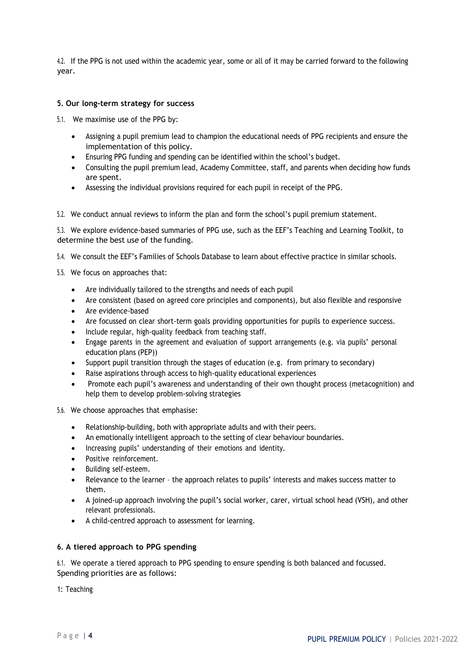4.2. If the PPG is not used within the academic year, some or all of it may be carried forward to the following year.

# **5. Our long-term strategy for success**

5.1. We maximise use of the PPG by:

- Assigning a pupil premium lead to champion the educational needs of PPG recipients and ensure the implementation of this policy.
- Ensuring PPG funding and spending can be identified within the school's budget.
- Consulting the pupil premium lead, Academy Committee, staff, and parents when deciding how funds are spent.
- Assessing the individual provisions required for each pupil in receipt of the PPG.

5.2. We conduct annual reviews to inform the plan and form the school's pupil premium statement.

5.3. We explore evidence-based summaries of PPG use, such as the EEF's Teaching and Learning Toolkit, to determine the best use of the funding.

5.4. We consult the EEF's Families of Schools Database to learn about effective practice in similar schools.

- 5.5. We focus on approaches that:
	- Are individually tailored to the strengths and needs of each pupil
	- Are consistent (based on agreed core principles and components), but also flexible and responsive
	- Are evidence-based
	- Are focussed on clear short-term goals providing opportunities for pupils to experience success.
	- Include regular, high-quality feedback from teaching staff.
	- Engage parents in the agreement and evaluation of support arrangements (e.g. via pupils' personal education plans (PEP))
	- Support pupil transition through the stages of education (e.g. from primary to secondary)
	- Raise aspirations through access to high-quality educational experiences
	- Promote each pupil's awareness and understanding of their own thought process (metacognition) and help them to develop problem-solving strategies
- 5.6. We choose approaches that emphasise:
	- Relationship-building, both with appropriate adults and with their peers.
	- An emotionally intelligent approach to the setting of clear behaviour boundaries.
	- Increasing pupils' understanding of their emotions and identity.
	- Positive reinforcement.
	- Building self-esteem.
	- Relevance to the learner the approach relates to pupils' interests and makes success matter to them.
	- A joined-up approach involving the pupil's social worker, carer, virtual school head (VSH), and other relevant professionals.
	- A child-centred approach to assessment for learning.

# **6. A tiered approach to PPG spending**

6.1. We operate a tiered approach to PPG spending to ensure spending is both balanced and focussed. Spending priorities are as follows:

1: Teaching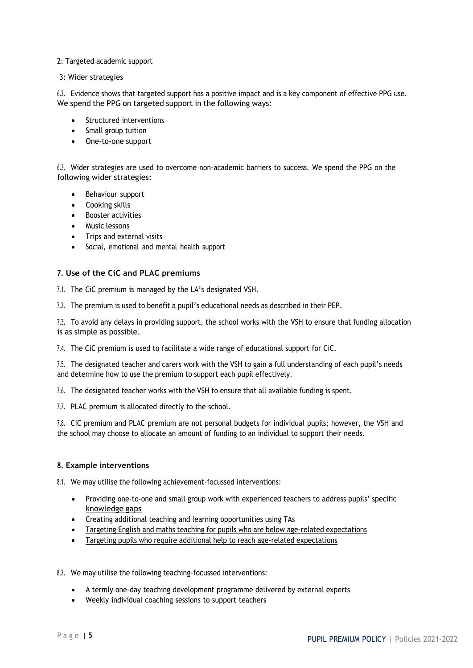#### 2: Targeted academic support

3: Wider strategies

6.2. Evidence shows that targeted support has a positive impact and is a key component of effective PPG use. We spend the PPG on targeted support in the following ways:

- Structured interventions
- Small group tuition
- One-to-one support

6.3. Wider strategies are used to overcome non-academic barriers to success. We spend the PPG on the following wider strategies:

- Behaviour support
- Cooking skills
- Booster activities
- Music lessons
- Trips and external visits
- Social, emotional and mental health support

#### **7. Use of the CiC and PLAC premiums**

7.1. The CiC premium is managed by the LA's designated VSH.

7.2. The premium is used to benefit a pupil's educational needs as described in their PEP.

7.3. To avoid any delays in providing support, the school works with the VSH to ensure that funding allocation is as simple as possible.

7.4. The CiC premium is used to facilitate a wide range of educational support for CiC.

7.5. The designated teacher and carers work with the VSH to gain a full understanding of each pupil's needs and determine how to use the premium to support each pupil effectively.

7.6. The designated teacher works with the VSH to ensure that all available funding is spent.

7.7. PLAC premium is allocated directly to the school.

7.8. CiC premium and PLAC premium are not personal budgets for individual pupils; however, the VSH and the school may choose to allocate an amount of funding to an individual to support their needs.

#### **8. Example interventions**

8.1. We may utilise the following achievement-focussed interventions:

- Providing one-to-one and small group work with experienced teachers to address pupils' specific knowledge gaps
- Creating additional teaching and learning opportunities using TAs
- Targeting English and maths teaching for pupils who are below age-related expectations
- Targeting pupils who require additional help to reach age-related expectations
- 8.2. We may utilise the following teaching-focussed interventions:
	- A termly one-day teaching development programme delivered by external experts
	- Weekly individual coaching sessions to support teachers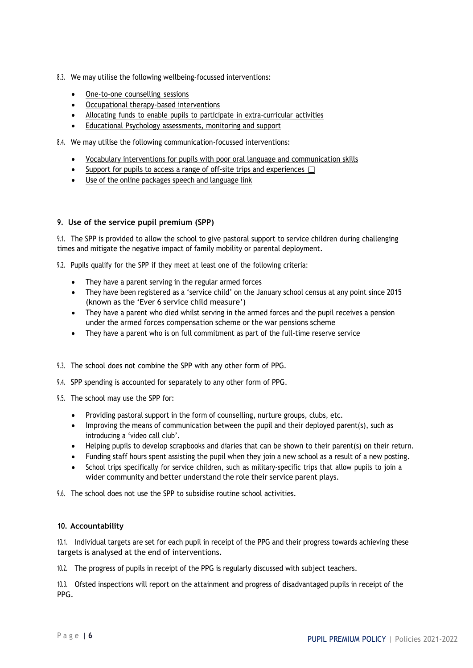- 8.3. We may utilise the following wellbeing-focussed interventions:
	- One-to-one counselling sessions
	- Occupational therapy-based interventions
	- Allocating funds to enable pupils to participate in extra-curricular activities
	- Educational Psychology assessments, monitoring and support
- 8.4. We may utilise the following communication-focussed interventions:
	- Vocabulary interventions for pupils with poor oral language and communication skills
	- Support for pupils to access a range of off-site trips and experiences  $\Box$
	- Use of the online packages speech and language link

# **9. Use of the service pupil premium (SPP)**

9.1. The SPP is provided to allow the school to give pastoral support to service children during challenging times and mitigate the negative impact of family mobility or parental deployment.

9.2. Pupils qualify for the SPP if they meet at least one of the following criteria:

- They have a parent serving in the regular armed forces
- They have been registered as a 'service child' on the January school census at any point since 2015 (known as the 'Ever 6 service child measure')
- They have a parent who died whilst serving in the armed forces and the pupil receives a pension under the armed forces compensation scheme or the war pensions scheme
- They have a parent who is on full commitment as part of the full-time reserve service
- 9.3. The school does not combine the SPP with any other form of PPG.
- 9.4. SPP spending is accounted for separately to any other form of PPG.
- 9.5. The school may use the SPP for:
	- Providing pastoral support in the form of counselling, nurture groups, clubs, etc.
	- Improving the means of communication between the pupil and their deployed parent(s), such as introducing a 'video call club'.
	- Helping pupils to develop scrapbooks and diaries that can be shown to their parent(s) on their return.
	- Funding staff hours spent assisting the pupil when they join a new school as a result of a new posting.
	- School trips specifically for service children, such as military-specific trips that allow pupils to join a wider community and better understand the role their service parent plays.

9.6. The school does not use the SPP to subsidise routine school activities.

# **10. Accountability**

10.1. Individual targets are set for each pupil in receipt of the PPG and their progress towards achieving these targets is analysed at the end of interventions.

10.2. The progress of pupils in receipt of the PPG is regularly discussed with subject teachers.

10.3. Ofsted inspections will report on the attainment and progress of disadvantaged pupils in receipt of the PPG.